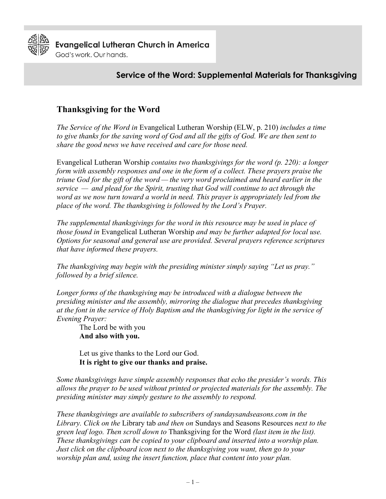

# **Service of the Word: Supplemental Materials for Thanksgiving**

# **Thanksgiving for the Word**

*The Service of the Word in* Evangelical Lutheran Worship (ELW, p. 210) *includes a time to give thanks for the saving word of God and all the gifts of God. We are then sent to share the good news we have received and care for those need.* 

Evangelical Lutheran Worship *contains two thanksgivings for the word (p. 220): a longer form with assembly responses and one in the form of a collect. These prayers praise the triune God for the gift of the word — the very word proclaimed and heard earlier in the service — and plead for the Spirit, trusting that God will continue to act through the word as we now turn toward a world in need. This prayer is appropriately led from the place of the word. The thanksgiving is followed by the Lord's Prayer.*

*The supplemental thanksgivings for the word in this resource may be used in place of those found in* Evangelical Lutheran Worship *and may be further adapted for local use. Options for seasonal and general use are provided. Several prayers reference scriptures that have informed these prayers.*

*The thanksgiving may begin with the presiding minister simply saying "Let us pray." followed by a brief silence.*

Longer forms of the thanksgiving may be introduced with a dialogue between the *presiding minister and the assembly, mirroring the dialogue that precedes thanksgiving at the font in the service of Holy Baptism and the thanksgiving for light in the service of Evening Prayer:*

The Lord be with you **And also with you.**

Let us give thanks to the Lord our God. **It is right to give our thanks and praise.**

*Some thanksgivings have simple assembly responses that echo the presider's words. This allows the prayer to be used without printed or projected materials for the assembly. The presiding minister may simply gesture to the assembly to respond.*

*These thanksgivings are available to subscribers of sundaysandseasons.com in the Library. Click on the* Library tab *and then on* Sundays and Seasons Resources *next to the green leaf logo. Then scroll down to* Thanksgiving for the Word *(last item in the list). These thanksgivings can be copied to your clipboard and inserted into a worship plan. Just click on the clipboard icon next to the thanksgiving you want, then go to your worship plan and, using the insert function, place that content into your plan.*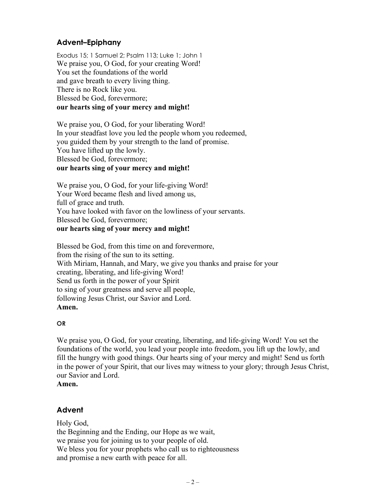## **Advent–Epiphany**

Exodus 15; 1 Samuel 2; Psalm 113; Luke 1; John 1 We praise you, O God, for your creating Word! You set the foundations of the world and gave breath to every living thing. There is no Rock like you. Blessed be God, forevermore; **our hearts sing of your mercy and might!**

We praise you, O God, for your liberating Word! In your steadfast love you led the people whom you redeemed, you guided them by your strength to the land of promise. You have lifted up the lowly. Blessed be God, forevermore; **our hearts sing of your mercy and might!**

We praise you, O God, for your life-giving Word! Your Word became flesh and lived among us, full of grace and truth. You have looked with favor on the lowliness of your servants. Blessed be God, forevermore; **our hearts sing of your mercy and might!**

Blessed be God, from this time on and forevermore, from the rising of the sun to its setting. With Miriam, Hannah, and Mary, we give you thanks and praise for your creating, liberating, and life-giving Word! Send us forth in the power of your Spirit to sing of your greatness and serve all people, following Jesus Christ, our Savior and Lord. **Amen.**

#### **OR**

We praise you, O God, for your creating, liberating, and life-giving Word! You set the foundations of the world, you lead your people into freedom, you lift up the lowly, and fill the hungry with good things. Our hearts sing of your mercy and might! Send us forth in the power of your Spirit, that our lives may witness to your glory; through Jesus Christ, our Savior and Lord.

**Amen.**

## **Advent**

Holy God, the Beginning and the Ending, our Hope as we wait, we praise you for joining us to your people of old. We bless you for your prophets who call us to righteousness and promise a new earth with peace for all.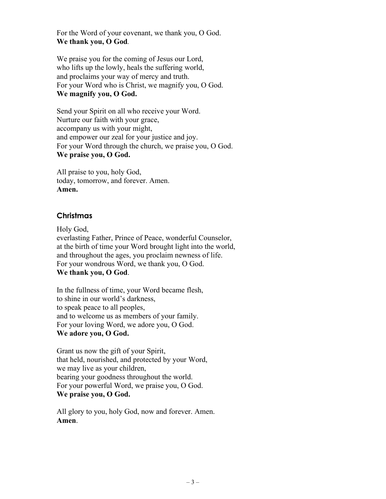For the Word of your covenant, we thank you, O God. **We thank you, O God***.*

We praise you for the coming of Jesus our Lord, who lifts up the lowly, heals the suffering world, and proclaims your way of mercy and truth. For your Word who is Christ, we magnify you, O God. **We magnify you, O God.**

Send your Spirit on all who receive your Word. Nurture our faith with your grace, accompany us with your might, and empower our zeal for your justice and joy. For your Word through the church, we praise you, O God. **We praise you, O God.**

All praise to you, holy God, today, tomorrow, and forever. Amen. **Amen.**

### **Christmas**

Holy God, everlasting Father, Prince of Peace, wonderful Counselor, at the birth of time your Word brought light into the world, and throughout the ages, you proclaim newness of life. For your wondrous Word, we thank you, O God. **We thank you, O God**.

In the fullness of time, your Word became flesh, to shine in our world's darkness, to speak peace to all peoples, and to welcome us as members of your family. For your loving Word, we adore you, O God. **We adore you, O God.**

Grant us now the gift of your Spirit, that held, nourished, and protected by your Word, we may live as your children, bearing your goodness throughout the world. For your powerful Word, we praise you, O God. **We praise you, O God.**

All glory to you, holy God, now and forever. Amen. **Amen**.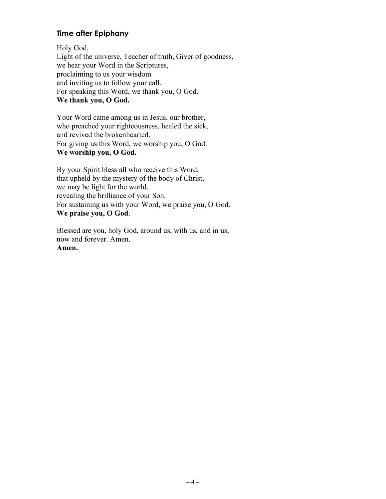## **Time after Epiphany**

Holy God, Light of the universe, Teacher of truth, Giver of goodness, we hear your Word in the Scriptures, proclaiming to us your wisdom and inviting us to follow your call. For speaking this Word, we thank you, O God. **We thank you, O God.** 

Your Word came among us in Jesus, our brother, who preached your righteousness, healed the sick, and revived the brokenhearted. For giving us this Word, we worship you, O God. **We worship you, O God.**

By your Spirit bless all who receive this Word, that upheld by the mystery of the body of Christ, we may be light for the world, revealing the brilliance of your Son. For sustaining us with your Word, we praise you, O God. **We praise you, O God**.

Blessed are you, holy God, around us, with us, and in us, now and forever. Amen. **Amen.**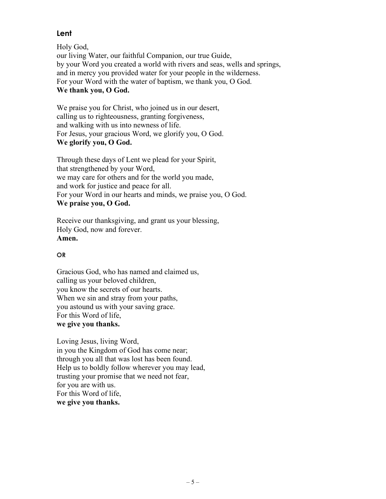## **Lent**

Holy God, our living Water, our faithful Companion, our true Guide, by your Word you created a world with rivers and seas, wells and springs, and in mercy you provided water for your people in the wilderness. For your Word with the water of baptism, we thank you, O God. **We thank you, O God.** 

We praise you for Christ, who joined us in our desert, calling us to righteousness, granting forgiveness, and walking with us into newness of life. For Jesus, your gracious Word, we glorify you, O God. **We glorify you, O God.** 

Through these days of Lent we plead for your Spirit, that strengthened by your Word, we may care for others and for the world you made, and work for justice and peace for all. For your Word in our hearts and minds, we praise you, O God. **We praise you, O God.** 

Receive our thanksgiving, and grant us your blessing, Holy God, now and forever. **Amen.**

### **OR**

Gracious God, who has named and claimed us, calling us your beloved children, you know the secrets of our hearts. When we sin and stray from your paths, you astound us with your saving grace. For this Word of life, **we give you thanks.** 

Loving Jesus, living Word, in you the Kingdom of God has come near; through you all that was lost has been found. Help us to boldly follow wherever you may lead, trusting your promise that we need not fear, for you are with us. For this Word of life, **we give you thanks.**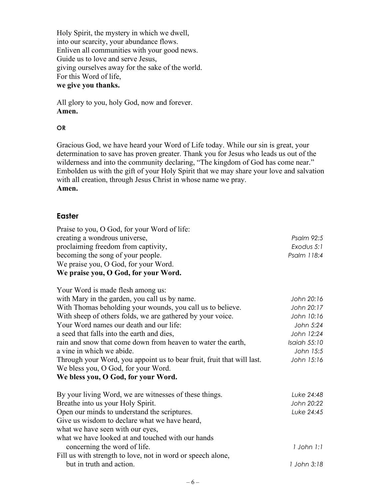Holy Spirit, the mystery in which we dwell, into our scarcity, your abundance flows. Enliven all communities with your good news. Guide us to love and serve Jesus, giving ourselves away for the sake of the world. For this Word of life, **we give you thanks.** 

All glory to you, holy God, now and forever. **Amen.** 

#### **OR**

Gracious God, we have heard your Word of Life today. While our sin is great, your determination to save has proven greater. Thank you for Jesus who leads us out of the wilderness and into the community declaring, "The kingdom of God has come near." Embolden us with the gift of your Holy Spirit that we may share your love and salvation with all creation, through Jesus Christ in whose name we pray. **Amen.**

#### **Easter**

| Praise to you, O God, for your Word of life:<br>creating a wondrous universe,<br>proclaiming freedom from captivity,<br>becoming the song of your people.<br>We praise you, O God, for your Word.<br>We praise you, O God, for your Word. | Psalm 92:5<br>Exodus 5:1<br>Psalm 118:4 |
|-------------------------------------------------------------------------------------------------------------------------------------------------------------------------------------------------------------------------------------------|-----------------------------------------|
| Your Word is made flesh among us:                                                                                                                                                                                                         |                                         |
| with Mary in the garden, you call us by name.                                                                                                                                                                                             | John 20:16                              |
| With Thomas beholding your wounds, you call us to believe.                                                                                                                                                                                | John 20:17                              |
| With sheep of others folds, we are gathered by your voice.                                                                                                                                                                                | John 10:16                              |
| Your Word names our death and our life:                                                                                                                                                                                                   | John 5:24                               |
| a seed that falls into the earth and dies,                                                                                                                                                                                                | John 12:24                              |
| rain and snow that come down from heaven to water the earth,                                                                                                                                                                              | Isaiah 55:10                            |
| a vine in which we abide.                                                                                                                                                                                                                 | John 15:5                               |
| Through your Word, you appoint us to bear fruit, fruit that will last.                                                                                                                                                                    | John 15:16                              |
| We bless you, O God, for your Word.                                                                                                                                                                                                       |                                         |
| We bless you, O God, for your Word.                                                                                                                                                                                                       |                                         |
| By your living Word, we are witnesses of these things.                                                                                                                                                                                    | Luke 24:48                              |
| Breathe into us your Holy Spirit.                                                                                                                                                                                                         | John 20:22                              |
| Open our minds to understand the scriptures.                                                                                                                                                                                              | Luke 24:45                              |
| Give us wisdom to declare what we have heard,                                                                                                                                                                                             |                                         |
| what we have seen with our eyes,                                                                                                                                                                                                          |                                         |
| what we have looked at and touched with our hands                                                                                                                                                                                         |                                         |
| concerning the word of life.                                                                                                                                                                                                              | 1 John 1:1                              |
| Fill us with strength to love, not in word or speech alone,                                                                                                                                                                               |                                         |
| but in truth and action.                                                                                                                                                                                                                  | 1 John 3:18                             |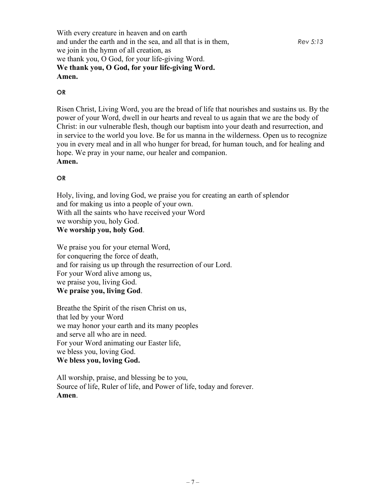With every creature in heaven and on earth and under the earth and in the sea, and all that is in them, *Rev 5:13* we join in the hymn of all creation, as we thank you, O God, for your life-giving Word. **We thank you, O God, for your life-giving Word. Amen.**

#### **OR**

Risen Christ, Living Word, you are the bread of life that nourishes and sustains us. By the power of your Word, dwell in our hearts and reveal to us again that we are the body of Christ: in our vulnerable flesh, though our baptism into your death and resurrection, and in service to the world you love. Be for us manna in the wilderness. Open us to recognize you in every meal and in all who hunger for bread, for human touch, and for healing and hope. We pray in your name, our healer and companion.

### **Amen.**

### **OR**

Holy, living, and loving God, we praise you for creating an earth of splendor and for making us into a people of your own. With all the saints who have received your Word we worship you, holy God.

## **We worship you, holy God**.

We praise you for your eternal Word, for conquering the force of death, and for raising us up through the resurrection of our Lord. For your Word alive among us, we praise you, living God. **We praise you, living God**.

Breathe the Spirit of the risen Christ on us, that led by your Word we may honor your earth and its many peoples and serve all who are in need. For your Word animating our Easter life, we bless you, loving God. **We bless you, loving God.**

All worship, praise, and blessing be to you, Source of life, Ruler of life, and Power of life, today and forever. **Amen**.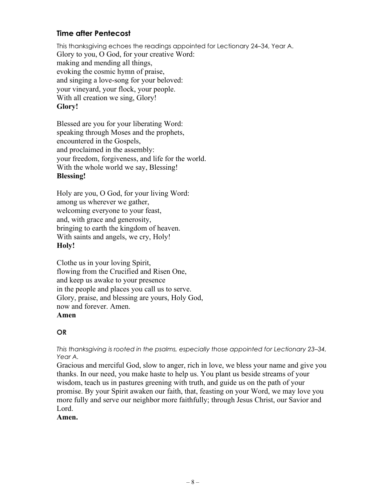## **Time after Pentecost**

This thanksgiving echoes the readings appointed for Lectionary 24–34, Year A. Glory to you, O God, for your creative Word: making and mending all things, evoking the cosmic hymn of praise, and singing a love-song for your beloved: your vineyard, your flock, your people. With all creation we sing, Glory! **Glory!**

Blessed are you for your liberating Word: speaking through Moses and the prophets, encountered in the Gospels, and proclaimed in the assembly: your freedom, forgiveness, and life for the world. With the whole world we say, Blessing! **Blessing!**

Holy are you, O God, for your living Word: among us wherever we gather, welcoming everyone to your feast, and, with grace and generosity, bringing to earth the kingdom of heaven. With saints and angels, we cry, Holy! **Holy!**

Clothe us in your loving Spirit, flowing from the Crucified and Risen One, and keep us awake to your presence in the people and places you call us to serve. Glory, praise, and blessing are yours, Holy God, now and forever. Amen. **Amen**

### **OR**

*This thanksgiving is rooted in the psalms, especially those appointed for Lectionary 23–34, Year A.*

Gracious and merciful God, slow to anger, rich in love, we bless your name and give you thanks. In our need, you make haste to help us. You plant us beside streams of your wisdom, teach us in pastures greening with truth, and guide us on the path of your promise. By your Spirit awaken our faith, that, feasting on your Word, we may love you more fully and serve our neighbor more faithfully; through Jesus Christ, our Savior and Lord.

#### **Amen.**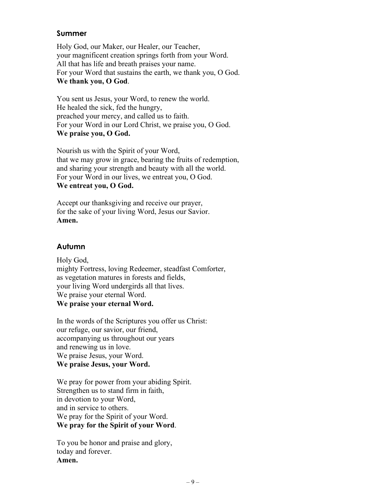### **Summer**

Holy God, our Maker, our Healer, our Teacher, your magnificent creation springs forth from your Word. All that has life and breath praises your name. For your Word that sustains the earth, we thank you, O God. **We thank you, O God**.

You sent us Jesus, your Word, to renew the world. He healed the sick, fed the hungry, preached your mercy, and called us to faith. For your Word in our Lord Christ, we praise you, O God. **We praise you, O God.**

Nourish us with the Spirit of your Word, that we may grow in grace, bearing the fruits of redemption, and sharing your strength and beauty with all the world. For your Word in our lives, we entreat you, O God. **We entreat you, O God.**

Accept our thanksgiving and receive our prayer, for the sake of your living Word, Jesus our Savior. **Amen.**

## **Autumn**

Holy God, mighty Fortress, loving Redeemer, steadfast Comforter, as vegetation matures in forests and fields, your living Word undergirds all that lives. We praise your eternal Word. **We praise your eternal Word.**

In the words of the Scriptures you offer us Christ: our refuge, our savior, our friend, accompanying us throughout our years and renewing us in love. We praise Jesus, your Word. **We praise Jesus, your Word.**

We pray for power from your abiding Spirit. Strengthen us to stand firm in faith, in devotion to your Word, and in service to others. We pray for the Spirit of your Word. **We pray for the Spirit of your Word**.

To you be honor and praise and glory, today and forever. **Amen.**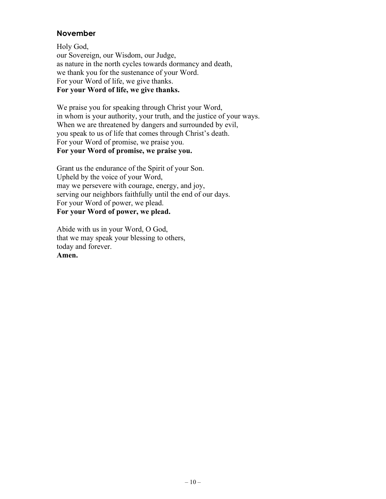### **November**

Holy God, our Sovereign, our Wisdom, our Judge, as nature in the north cycles towards dormancy and death, we thank you for the sustenance of your Word. For your Word of life, we give thanks. **For your Word of life, we give thanks.** 

We praise you for speaking through Christ your Word, in whom is your authority, your truth, and the justice of your ways. When we are threatened by dangers and surrounded by evil, you speak to us of life that comes through Christ's death. For your Word of promise, we praise you. **For your Word of promise, we praise you.** 

Grant us the endurance of the Spirit of your Son. Upheld by the voice of your Word, may we persevere with courage, energy, and joy, serving our neighbors faithfully until the end of our days. For your Word of power, we plead. **For your Word of power, we plead.**

Abide with us in your Word, O God, that we may speak your blessing to others, today and forever. **Amen.**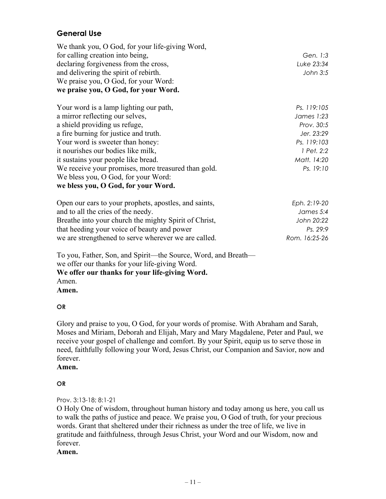## **General Use**

| Gen. 1:3    |
|-------------|
| Luke 23:34  |
| John 3:5    |
|             |
|             |
| Ps. 119:105 |
| James 1:23  |
| Prov. 30:5  |
| Jer. 23:29  |
| Ps. 119:103 |
| 1 Pet. 2:2  |
| Matt. 14:20 |
| Ps. 19:10   |
|             |
|             |
|             |

| Open our ears to your prophets, apostles, and saints, | Eph. 2:19-20  |
|-------------------------------------------------------|---------------|
| and to all the cries of the needy.                    | James 5:4     |
| Breathe into your church the mighty Spirit of Christ, | John 20:22    |
| that heeding your voice of beauty and power           | Ps. 29:9      |
| we are strengthened to serve wherever we are called.  | Rom. 16:25-26 |

To you, Father, Son, and Spirit—the Source, Word, and Breath we offer our thanks for your life-giving Word. **We offer our thanks for your life-giving Word.** Amen. **Amen.**

#### **OR**

Glory and praise to you, O God, for your words of promise. With Abraham and Sarah, Moses and Miriam, Deborah and Elijah, Mary and Mary Magdalene, Peter and Paul, we receive your gospel of challenge and comfort. By your Spirit, equip us to serve those in need, faithfully following your Word, Jesus Christ, our Companion and Savior, now and forever.

### **Amen.**

#### **OR**

#### Prov. 3:13-18; 8:1-21

O Holy One of wisdom, throughout human history and today among us here, you call us to walk the paths of justice and peace. We praise you, O God of truth, for your precious words. Grant that sheltered under their richness as under the tree of life, we live in gratitude and faithfulness, through Jesus Christ, your Word and our Wisdom, now and forever.

### **Amen.**